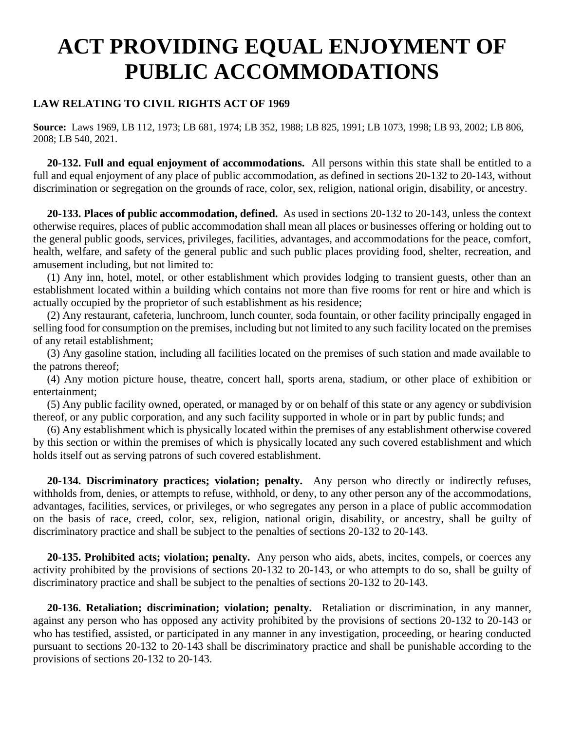# **ACT PROVIDING EQUAL ENJOYMENT OF PUBLIC ACCOMMODATIONS**

## **LAW RELATING TO CIVIL RIGHTS ACT OF 1969**

**Source:** Laws 1969, LB 112, 1973; LB 681, 1974; LB 352, 1988; LB 825, 1991; LB 1073, 1998; LB 93, 2002; LB 806, 2008; LB 540, 2021.

 **20-132. Full and equal enjoyment of accommodations.** All persons within this state shall be entitled to a full and equal enjoyment of any place of public accommodation, as defined in sections 20-132 to 20-143, without discrimination or segregation on the grounds of race, color, sex, religion, national origin, disability, or ancestry.

 **20-133. Places of public accommodation, defined.** As used in sections 20-132 to 20-143, unless the context otherwise requires, places of public accommodation shall mean all places or businesses offering or holding out to the general public goods, services, privileges, facilities, advantages, and accommodations for the peace, comfort, health, welfare, and safety of the general public and such public places providing food, shelter, recreation, and amusement including, but not limited to:

 (1) Any inn, hotel, motel, or other establishment which provides lodging to transient guests, other than an establishment located within a building which contains not more than five rooms for rent or hire and which is actually occupied by the proprietor of such establishment as his residence;

 (2) Any restaurant, cafeteria, lunchroom, lunch counter, soda fountain, or other facility principally engaged in selling food for consumption on the premises, including but not limited to any such facility located on the premises of any retail establishment;

 (3) Any gasoline station, including all facilities located on the premises of such station and made available to the patrons thereof;

 (4) Any motion picture house, theatre, concert hall, sports arena, stadium, or other place of exhibition or entertainment;

 (5) Any public facility owned, operated, or managed by or on behalf of this state or any agency or subdivision thereof, or any public corporation, and any such facility supported in whole or in part by public funds; and

 (6) Any establishment which is physically located within the premises of any establishment otherwise covered by this section or within the premises of which is physically located any such covered establishment and which holds itself out as serving patrons of such covered establishment.

 **20-134. Discriminatory practices; violation; penalty.** Any person who directly or indirectly refuses, withholds from, denies, or attempts to refuse, withhold, or deny, to any other person any of the accommodations, advantages, facilities, services, or privileges, or who segregates any person in a place of public accommodation on the basis of race, creed, color, sex, religion, national origin, disability, or ancestry, shall be guilty of discriminatory practice and shall be subject to the penalties of sections 20-132 to 20-143.

 **20-135. Prohibited acts; violation; penalty.** Any person who aids, abets, incites, compels, or coerces any activity prohibited by the provisions of sections 20-132 to 20-143, or who attempts to do so, shall be guilty of discriminatory practice and shall be subject to the penalties of sections 20-132 to 20-143.

 **20-136. Retaliation; discrimination; violation; penalty.** Retaliation or discrimination, in any manner, against any person who has opposed any activity prohibited by the provisions of sections 20-132 to 20-143 or who has testified, assisted, or participated in any manner in any investigation, proceeding, or hearing conducted pursuant to sections 20-132 to 20-143 shall be discriminatory practice and shall be punishable according to the provisions of sections 20-132 to 20-143.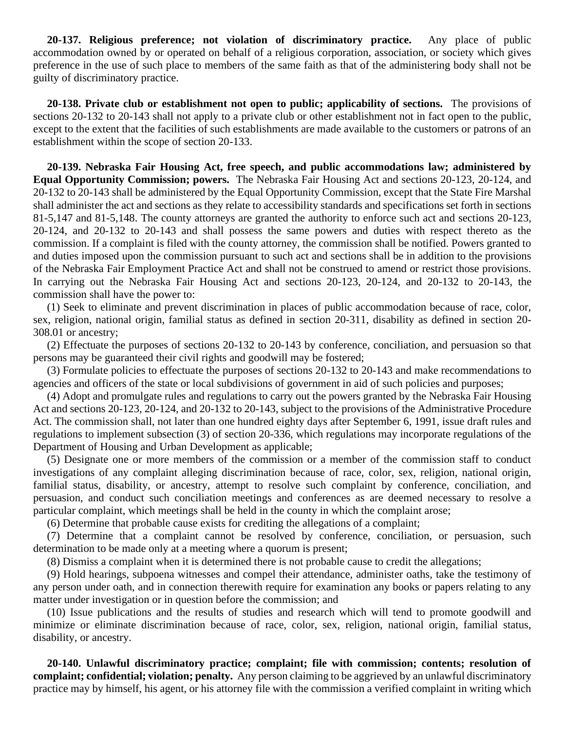**20-137. Religious preference; not violation of discriminatory practice.** Any place of public accommodation owned by or operated on behalf of a religious corporation, association, or society which gives preference in the use of such place to members of the same faith as that of the administering body shall not be guilty of discriminatory practice.

 **20-138. Private club or establishment not open to public; applicability of sections.** The provisions of sections 20-132 to 20-143 shall not apply to a private club or other establishment not in fact open to the public, except to the extent that the facilities of such establishments are made available to the customers or patrons of an establishment within the scope of section 20-133.

 **20-139. Nebraska Fair Housing Act, free speech, and public accommodations law; administered by Equal Opportunity Commission; powers.** The Nebraska Fair Housing Act and sections 20-123, 20-124, and 20-132 to 20-143 shall be administered by the Equal Opportunity Commission, except that the State Fire Marshal shall administer the act and sections as they relate to accessibility standards and specifications set forth in sections 81-5,147 and 81-5,148. The county attorneys are granted the authority to enforce such act and sections 20-123, 20-124, and 20-132 to 20-143 and shall possess the same powers and duties with respect thereto as the commission. If a complaint is filed with the county attorney, the commission shall be notified. Powers granted to and duties imposed upon the commission pursuant to such act and sections shall be in addition to the provisions of the Nebraska Fair Employment Practice Act and shall not be construed to amend or restrict those provisions. In carrying out the Nebraska Fair Housing Act and sections 20-123, 20-124, and 20-132 to 20-143, the commission shall have the power to:

 (1) Seek to eliminate and prevent discrimination in places of public accommodation because of race, color, sex, religion, national origin, familial status as defined in section 20-311, disability as defined in section 20- 308.01 or ancestry;

 (2) Effectuate the purposes of sections 20-132 to 20-143 by conference, conciliation, and persuasion so that persons may be guaranteed their civil rights and goodwill may be fostered;

 (3) Formulate policies to effectuate the purposes of sections 20-132 to 20-143 and make recommendations to agencies and officers of the state or local subdivisions of government in aid of such policies and purposes;

 (4) Adopt and promulgate rules and regulations to carry out the powers granted by the Nebraska Fair Housing Act and sections 20-123, 20-124, and 20-132 to 20-143, subject to the provisions of the Administrative Procedure Act. The commission shall, not later than one hundred eighty days after September 6, 1991, issue draft rules and regulations to implement subsection (3) of section 20-336, which regulations may incorporate regulations of the Department of Housing and Urban Development as applicable;

 (5) Designate one or more members of the commission or a member of the commission staff to conduct investigations of any complaint alleging discrimination because of race, color, sex, religion, national origin, familial status, disability, or ancestry, attempt to resolve such complaint by conference, conciliation, and persuasion, and conduct such conciliation meetings and conferences as are deemed necessary to resolve a particular complaint, which meetings shall be held in the county in which the complaint arose;

(6) Determine that probable cause exists for crediting the allegations of a complaint;

 (7) Determine that a complaint cannot be resolved by conference, conciliation, or persuasion, such determination to be made only at a meeting where a quorum is present;

(8) Dismiss a complaint when it is determined there is not probable cause to credit the allegations;

 (9) Hold hearings, subpoena witnesses and compel their attendance, administer oaths, take the testimony of any person under oath, and in connection therewith require for examination any books or papers relating to any matter under investigation or in question before the commission; and

 (10) Issue publications and the results of studies and research which will tend to promote goodwill and minimize or eliminate discrimination because of race, color, sex, religion, national origin, familial status, disability, or ancestry.

 **20-140. Unlawful discriminatory practice; complaint; file with commission; contents; resolution of complaint; confidential; violation; penalty.** Any person claiming to be aggrieved by an unlawful discriminatory practice may by himself, his agent, or his attorney file with the commission a verified complaint in writing which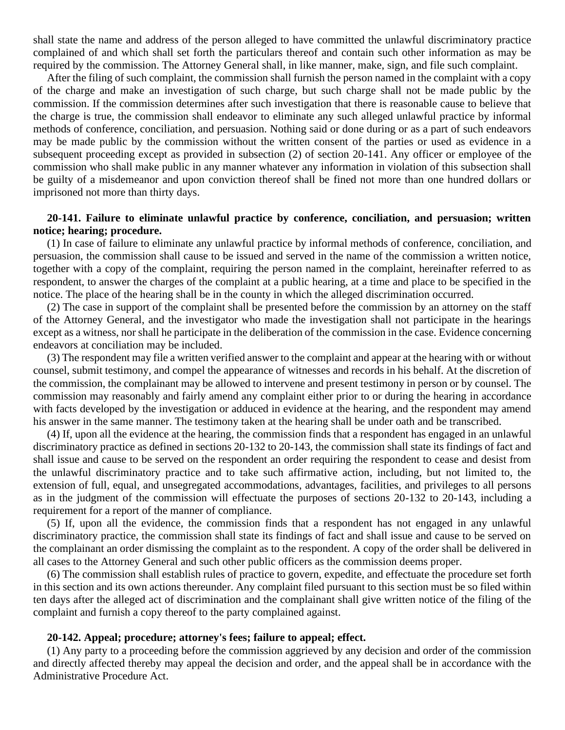shall state the name and address of the person alleged to have committed the unlawful discriminatory practice complained of and which shall set forth the particulars thereof and contain such other information as may be required by the commission. The Attorney General shall, in like manner, make, sign, and file such complaint.

 After the filing of such complaint, the commission shall furnish the person named in the complaint with a copy of the charge and make an investigation of such charge, but such charge shall not be made public by the commission. If the commission determines after such investigation that there is reasonable cause to believe that the charge is true, the commission shall endeavor to eliminate any such alleged unlawful practice by informal methods of conference, conciliation, and persuasion. Nothing said or done during or as a part of such endeavors may be made public by the commission without the written consent of the parties or used as evidence in a subsequent proceeding except as provided in subsection (2) of section 20-141. Any officer or employee of the commission who shall make public in any manner whatever any information in violation of this subsection shall be guilty of a misdemeanor and upon conviction thereof shall be fined not more than one hundred dollars or imprisoned not more than thirty days.

### **20-141. Failure to eliminate unlawful practice by conference, conciliation, and persuasion; written notice; hearing; procedure.**

(1) In case of failure to eliminate any unlawful practice by informal methods of conference, conciliation, and persuasion, the commission shall cause to be issued and served in the name of the commission a written notice, together with a copy of the complaint, requiring the person named in the complaint, hereinafter referred to as respondent, to answer the charges of the complaint at a public hearing, at a time and place to be specified in the notice. The place of the hearing shall be in the county in which the alleged discrimination occurred.

 (2) The case in support of the complaint shall be presented before the commission by an attorney on the staff of the Attorney General, and the investigator who made the investigation shall not participate in the hearings except as a witness, nor shall he participate in the deliberation of the commission in the case. Evidence concerning endeavors at conciliation may be included.

 (3) The respondent may file a written verified answer to the complaint and appear at the hearing with or without counsel, submit testimony, and compel the appearance of witnesses and records in his behalf. At the discretion of the commission, the complainant may be allowed to intervene and present testimony in person or by counsel. The commission may reasonably and fairly amend any complaint either prior to or during the hearing in accordance with facts developed by the investigation or adduced in evidence at the hearing, and the respondent may amend his answer in the same manner. The testimony taken at the hearing shall be under oath and be transcribed.

 (4) If, upon all the evidence at the hearing, the commission finds that a respondent has engaged in an unlawful discriminatory practice as defined in sections 20-132 to 20-143, the commission shall state its findings of fact and shall issue and cause to be served on the respondent an order requiring the respondent to cease and desist from the unlawful discriminatory practice and to take such affirmative action, including, but not limited to, the extension of full, equal, and unsegregated accommodations, advantages, facilities, and privileges to all persons as in the judgment of the commission will effectuate the purposes of sections 20-132 to 20-143, including a requirement for a report of the manner of compliance.

 (5) If, upon all the evidence, the commission finds that a respondent has not engaged in any unlawful discriminatory practice, the commission shall state its findings of fact and shall issue and cause to be served on the complainant an order dismissing the complaint as to the respondent. A copy of the order shall be delivered in all cases to the Attorney General and such other public officers as the commission deems proper.

 (6) The commission shall establish rules of practice to govern, expedite, and effectuate the procedure set forth in this section and its own actions thereunder. Any complaint filed pursuant to this section must be so filed within ten days after the alleged act of discrimination and the complainant shall give written notice of the filing of the complaint and furnish a copy thereof to the party complained against.

#### **20-142. Appeal; procedure; attorney's fees; failure to appeal; effect.**

(1) Any party to a proceeding before the commission aggrieved by any decision and order of the commission and directly affected thereby may appeal the decision and order, and the appeal shall be in accordance with the Administrative Procedure Act.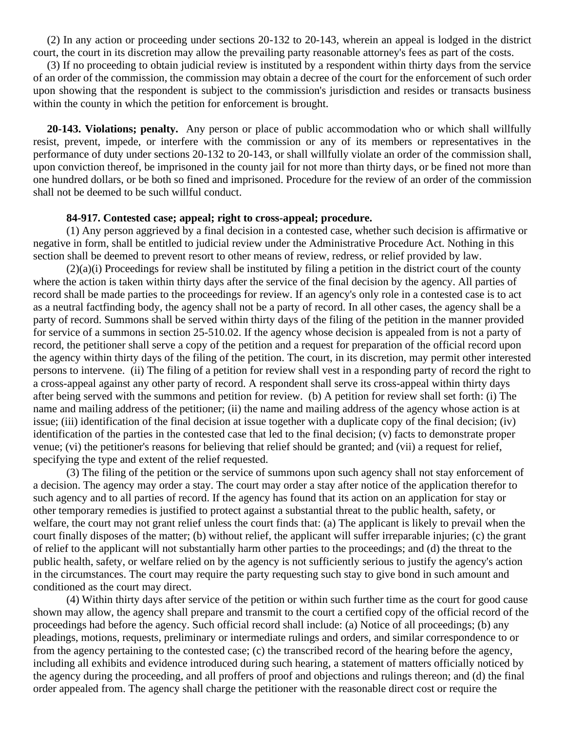(2) In any action or proceeding under sections 20-132 to 20-143, wherein an appeal is lodged in the district court, the court in its discretion may allow the prevailing party reasonable attorney's fees as part of the costs.

 (3) If no proceeding to obtain judicial review is instituted by a respondent within thirty days from the service of an order of the commission, the commission may obtain a decree of the court for the enforcement of such order upon showing that the respondent is subject to the commission's jurisdiction and resides or transacts business within the county in which the petition for enforcement is brought.

 **20-143. Violations; penalty.** Any person or place of public accommodation who or which shall willfully resist, prevent, impede, or interfere with the commission or any of its members or representatives in the performance of duty under sections 20-132 to 20-143, or shall willfully violate an order of the commission shall, upon conviction thereof, be imprisoned in the county jail for not more than thirty days, or be fined not more than one hundred dollars, or be both so fined and imprisoned. Procedure for the review of an order of the commission shall not be deemed to be such willful conduct.

#### **84-917. Contested case; appeal; right to cross-appeal; procedure.**

(1) Any person aggrieved by a final decision in a contested case, whether such decision is affirmative or negative in form, shall be entitled to judicial review under the Administrative Procedure Act. Nothing in this section shall be deemed to prevent resort to other means of review, redress, or relief provided by law.

(2)(a)(i) Proceedings for review shall be instituted by filing a petition in the district court of the county where the action is taken within thirty days after the service of the final decision by the agency. All parties of record shall be made parties to the proceedings for review. If an agency's only role in a contested case is to act as a neutral factfinding body, the agency shall not be a party of record. In all other cases, the agency shall be a party of record. Summons shall be served within thirty days of the filing of the petition in the manner provided for service of a summons in section 25-510.02. If the agency whose decision is appealed from is not a party of record, the petitioner shall serve a copy of the petition and a request for preparation of the official record upon the agency within thirty days of the filing of the petition. The court, in its discretion, may permit other interested persons to intervene. (ii) The filing of a petition for review shall vest in a responding party of record the right to a cross-appeal against any other party of record. A respondent shall serve its cross-appeal within thirty days after being served with the summons and petition for review. (b) A petition for review shall set forth: (i) The name and mailing address of the petitioner; (ii) the name and mailing address of the agency whose action is at issue; (iii) identification of the final decision at issue together with a duplicate copy of the final decision; (iv) identification of the parties in the contested case that led to the final decision; (v) facts to demonstrate proper venue; (vi) the petitioner's reasons for believing that relief should be granted; and (vii) a request for relief, specifying the type and extent of the relief requested.

(3) The filing of the petition or the service of summons upon such agency shall not stay enforcement of a decision. The agency may order a stay. The court may order a stay after notice of the application therefor to such agency and to all parties of record. If the agency has found that its action on an application for stay or other temporary remedies is justified to protect against a substantial threat to the public health, safety, or welfare, the court may not grant relief unless the court finds that: (a) The applicant is likely to prevail when the court finally disposes of the matter; (b) without relief, the applicant will suffer irreparable injuries; (c) the grant of relief to the applicant will not substantially harm other parties to the proceedings; and (d) the threat to the public health, safety, or welfare relied on by the agency is not sufficiently serious to justify the agency's action in the circumstances. The court may require the party requesting such stay to give bond in such amount and conditioned as the court may direct.

(4) Within thirty days after service of the petition or within such further time as the court for good cause shown may allow, the agency shall prepare and transmit to the court a certified copy of the official record of the proceedings had before the agency. Such official record shall include: (a) Notice of all proceedings; (b) any pleadings, motions, requests, preliminary or intermediate rulings and orders, and similar correspondence to or from the agency pertaining to the contested case; (c) the transcribed record of the hearing before the agency, including all exhibits and evidence introduced during such hearing, a statement of matters officially noticed by the agency during the proceeding, and all proffers of proof and objections and rulings thereon; and (d) the final order appealed from. The agency shall charge the petitioner with the reasonable direct cost or require the